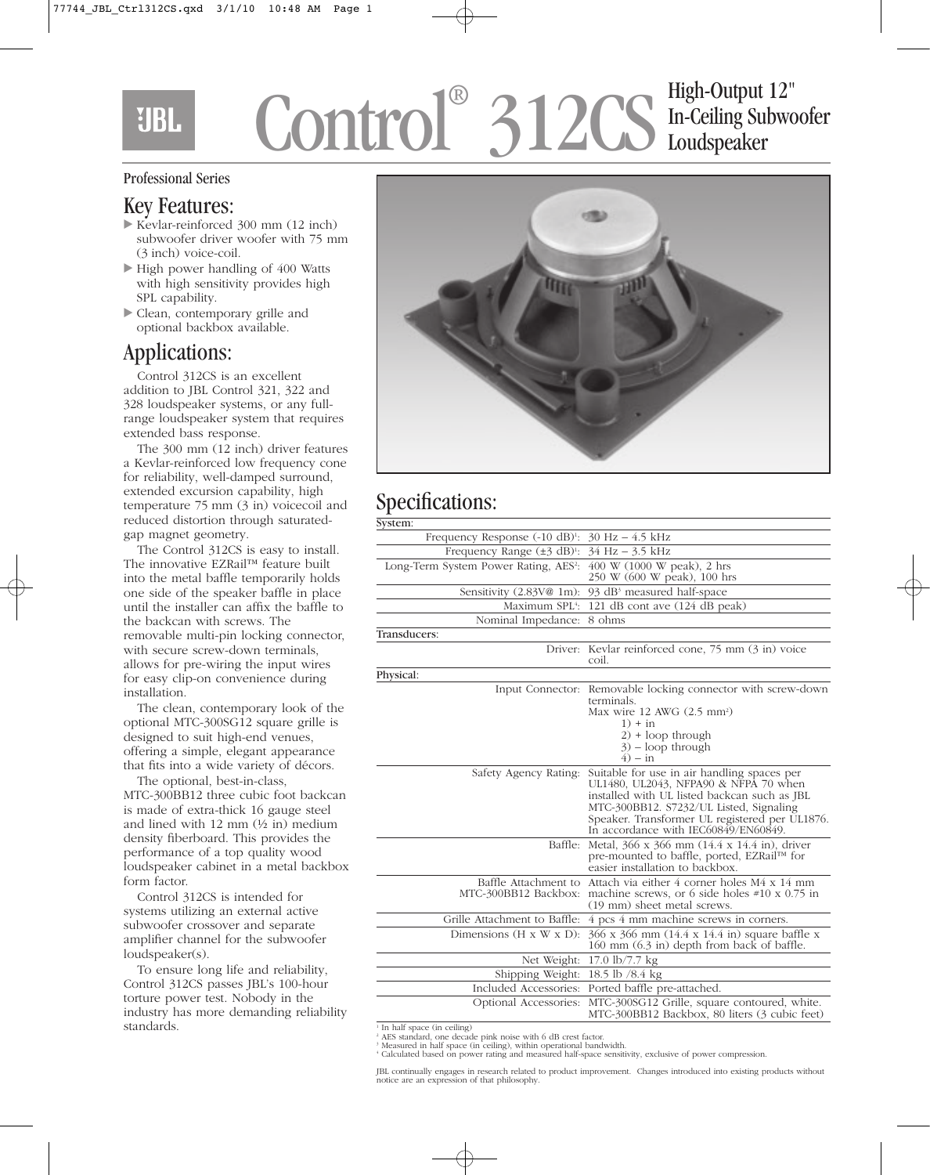EIBL

# Control® 312CS High-Output 12" In-Ceiling Subwoofer Loudspeaker

#### Professional Series

### Key Features:

- Kevlar-reinforced 300 mm (12 inch) subwoofer driver woofer with 75 mm (3 inch) voice-coil.
- High power handling of 400 Watts with high sensitivity provides high SPL capability.
- Clean, contemporary grille and optional backbox available.

# Applications:

Control 312CS is an excellent addition to JBL Control 321, 322 and 328 loudspeaker systems, or any fullrange loudspeaker system that requires extended bass response.

The 300 mm (12 inch) driver features a Kevlar-reinforced low frequency cone for reliability, well-damped surround, extended excursion capability, high temperature 75 mm (3 in) voicecoil and reduced distortion through saturatedgap magnet geometry.

The Control 312CS is easy to install. The innovative EZRail™ feature built into the metal baffle temporarily holds one side of the speaker baffle in place until the installer can affix the baffle to the backcan with screws. The removable multi-pin locking connector, with secure screw-down terminals, allows for pre-wiring the input wires for easy clip-on convenience during installation.

The clean, contemporary look of the optional MTC-300SG12 square grille is designed to suit high-end venues, offering a simple, elegant appearance that fits into a wide variety of décors.

The optional, best-in-class, MTC-300BB12 three cubic foot backcan is made of extra-thick 16 gauge steel and lined with 12 mm (½ in) medium density fiberboard. This provides the performance of a top quality wood loudspeaker cabinet in a metal backbox form factor.

Control 312CS is intended for systems utilizing an external active subwoofer crossover and separate amplifier channel for the subwoofer loudspeaker(s).

To ensure long life and reliability, Control 312CS passes JBL's 100-hour torture power test. Nobody in the industry has more demanding reliability standards.



# Specifications:

| System:                                                       |                                                                                                                                                                                                                                                                           |
|---------------------------------------------------------------|---------------------------------------------------------------------------------------------------------------------------------------------------------------------------------------------------------------------------------------------------------------------------|
| Frequency Response $(-10 \text{ dB})$ <sup>1</sup> :          | $30 Hz - 4.5 kHz$                                                                                                                                                                                                                                                         |
| Frequency Range $(\pm 3$ dB) <sup>1</sup> : $34$ Hz – 3.5 kHz |                                                                                                                                                                                                                                                                           |
| Long-Term System Power Rating, AES <sup>2</sup> :             | 400 W (1000 W peak), 2 hrs<br>250 W (600 W peak), 100 hrs                                                                                                                                                                                                                 |
| Sensitivity $(2.83\sqrt{\omega} \cdot 1m)$ :                  | 93 dB <sup>3</sup> measured half-space                                                                                                                                                                                                                                    |
| Maximum SPL4:                                                 | 121 dB cont ave (124 dB peak)                                                                                                                                                                                                                                             |
| Nominal Impedance:                                            | 8 ohms                                                                                                                                                                                                                                                                    |
| Transducers:                                                  |                                                                                                                                                                                                                                                                           |
|                                                               | Driver: Kevlar reinforced cone, 75 mm (3 in) voice<br>coil.                                                                                                                                                                                                               |
| Physical:                                                     |                                                                                                                                                                                                                                                                           |
|                                                               | Input Connector: Removable locking connector with screw-down<br>terminals.<br>Max wire $12$ AWG $(2.5$ mm <sup>2</sup> )<br>$1) + in$<br>$2$ + loop through<br>$3$ ) – loop through<br>$4) - in$                                                                          |
| Safety Agency Rating:                                         | Suitable for use in air handling spaces per<br>UL1480, UL2043, NFPA90 & NFPA 70 when<br>installed with UL listed backcan such as JBL<br>MTC-300BB12. S7232/UL Listed, Signaling<br>Speaker. Transformer UL registered per UL1876.<br>In accordance with IEC60849/EN60849. |
| Baffle:                                                       | Metal, 366 x 366 mm (14.4 x 14.4 in), driver<br>pre-mounted to baffle, ported, EZRail™ for<br>easier installation to backbox.                                                                                                                                             |
| MTC-300BB12 Backbox:                                          | Baffle Attachment to Attach via either 4 corner holes M4 x 14 mm<br>machine screws, or 6 side holes $\#10 \times 0.75$ in<br>(19 mm) sheet metal screws.                                                                                                                  |
| Grille Attachment to Baffle:                                  | 4 pcs 4 mm machine screws in corners.                                                                                                                                                                                                                                     |
| Dimensions $(H \times W \times D)$ :                          | 366 x 366 mm (14.4 x 14.4 in) square baffle x<br>160 mm (6.3 in) depth from back of baffle.                                                                                                                                                                               |
| Net Weight:                                                   | 17.0 $\frac{\text{lb}}{7.7}$ kg                                                                                                                                                                                                                                           |
| Shipping Weight:                                              | 18.5 lb /8.4 kg                                                                                                                                                                                                                                                           |
| Included Accessories:                                         | Ported baffle pre-attached.                                                                                                                                                                                                                                               |
| Optional Accessories:                                         | MTC-300SG12 Grille, square contoured, white.<br>MTC-300BB12 Backbox, 80 liters (3 cubic feet)                                                                                                                                                                             |

<sup>1</sup> In half space (in ceiling) <sup>2</sup> AES standard, one decade pink noise with 6 dB crest factor.

JBL continually engages in research related to product improvement. Changes introduced into existing products without notice are an expression of that philosophy.

<sup>3</sup> Measured in half space (in ceiling), within operational bandwidth. <sup>4</sup> Calculated based on power rating and measured half-space sensitivity, exclusive of power compression.